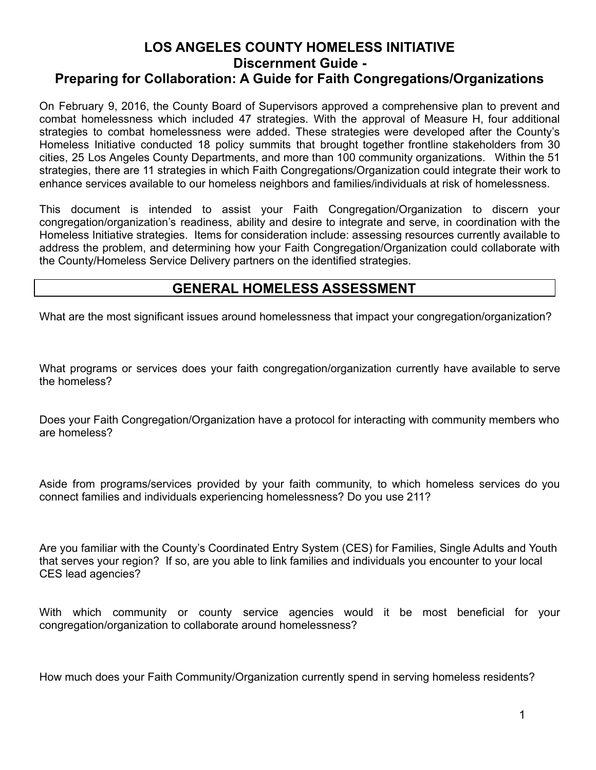# **LOS ANGELES COUNTY HOMELESS INITIATIVE Discernment Guide - Preparing for Collaboration: A Guide for Faith Congregations/Organizations**

On February 9, 2016, the County Board of Supervisors approved a comprehensive plan to prevent and combat homelessness which included 47 strategies. With the approval of Measure H, four additional strategies to combat homelessness were added. These strategies were developed after the County's Homeless Initiative conducted 18 policy summits that brought together frontline stakeholders from 30 cities, 25 Los Angeles County Departments, and more than 100 community organizations. Within the 51 strategies, there are 11 strategies in which Faith Congregations/Organization could integrate their work to enhance services available to our homeless neighbors and families/individuals at risk of homelessness.

This document is intended to assist your Faith Congregation/Organization to discern your congregation/organization's readiness, ability and desire to integrate and serve, in coordination with the Homeless Initiative strategies. Items for consideration include: assessing resources currently available to address the problem, and determining how your Faith Congregation/Organization could collaborate with the County/Homeless Service Delivery partners on the identified strategies.

# **GENERAL HOMELESS ASSESSMENT**

What are the most significant issues around homelessness that impact your congregation/organization?

What programs or services does your faith congregation/organization currently have available to serve the homeless?

Does your Faith Congregation/Organization have a protocol for interacting with community members who are homeless?

Aside from programs/services provided by your faith community, to which homeless services do you connect families and individuals experiencing homelessness? Do you use 211?

Are you familiar with the County's Coordinated Entry System (CES) for Families, Single Adults and Youth that serves your region? If so, are you able to link families and individuals you encounter to your local CES lead agencies?

With which community or county service agencies would it be most beneficial for your congregation/organization to collaborate around homelessness?

How much does your Faith Community/Organization currently spend in serving homeless residents?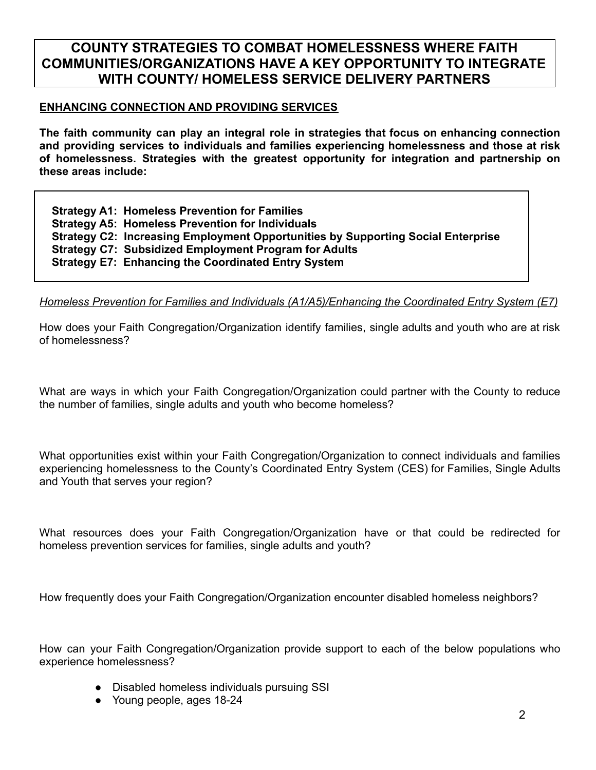# **COUNTY STRATEGIES TO COMBAT HOMELESSNESS WHERE FAITH COMMUNITIES/ORGANIZATIONS HAVE A KEY OPPORTUNITY TO INTEGRATE WITH COUNTY/ HOMELESS SERVICE DELIVERY PARTNERS**

#### **ENHANCING CONNECTION AND PROVIDING SERVICES**

**The faith community can play an integral role in strategies that focus on enhancing connection and providing services to individuals and families experiencing homelessness and those at risk of homelessness. Strategies with the greatest opportunity for integration and partnership on these areas include:**

**Strategy A1: Homeless Prevention for Families Strategy A5: Homeless Prevention for Individuals Strategy C2: Increasing Employment Opportunities by Supporting Social Enterprise Strategy C7: Subsidized Employment Program for Adults Strategy E7: Enhancing the Coordinated Entry System**

*Homeless Prevention for Families and Individuals (A1/A5)/Enhancing the Coordinated Entry System (E7)*

How does your Faith Congregation/Organization identify families, single adults and youth who are at risk of homelessness?

What are ways in which your Faith Congregation/Organization could partner with the County to reduce the number of families, single adults and youth who become homeless?

What opportunities exist within your Faith Congregation/Organization to connect individuals and families experiencing homelessness to the County's Coordinated Entry System (CES) for Families, Single Adults and Youth that serves your region?

What resources does your Faith Congregation/Organization have or that could be redirected for homeless prevention services for families, single adults and youth?

How frequently does your Faith Congregation/Organization encounter disabled homeless neighbors?

How can your Faith Congregation/Organization provide support to each of the below populations who experience homelessness?

- Disabled homeless individuals pursuing SSI
- Young people, ages 18-24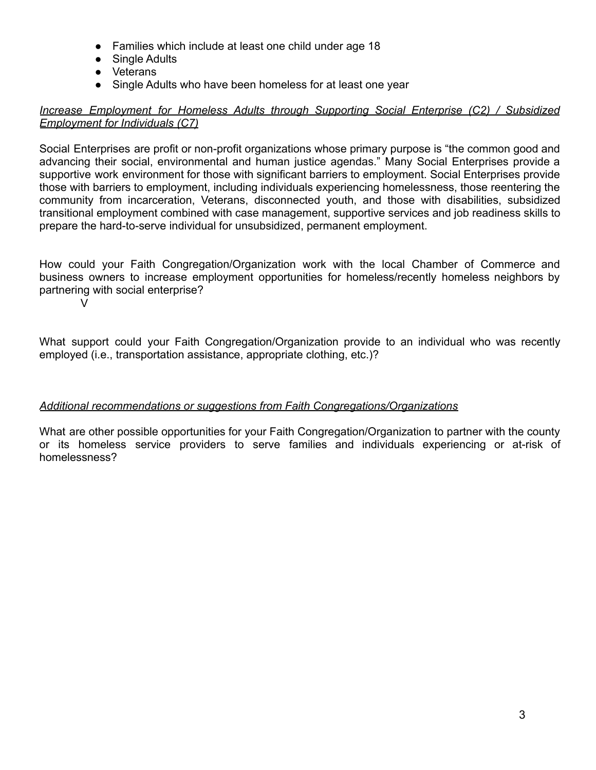- Families which include at least one child under age 18
- Single Adults
- Veterans
- Single Adults who have been homeless for at least one year

### *Increase Employment for Homeless Adults through Supporting Social Enterprise (C2) / Subsidized Employment for Individuals (C7)*

Social Enterprises are profit or non-profit organizations whose primary purpose is "the common good and advancing their social, environmental and human justice agendas." Many Social Enterprises provide a supportive work environment for those with significant barriers to employment. Social Enterprises provide those with barriers to employment, including individuals experiencing homelessness, those reentering the community from incarceration, Veterans, disconnected youth, and those with disabilities, subsidized transitional employment combined with case management, supportive services and job readiness skills to prepare the hard-to-serve individual for unsubsidized, permanent employment.

How could your Faith Congregation/Organization work with the local Chamber of Commerce and business owners to increase employment opportunities for homeless/recently homeless neighbors by partnering with social enterprise?

V

What support could your Faith Congregation/Organization provide to an individual who was recently employed (i.e., transportation assistance, appropriate clothing, etc.)?

## *Additional recommendations or suggestions from Faith Congregations/Organizations*

What are other possible opportunities for your Faith Congregation/Organization to partner with the county or its homeless service providers to serve families and individuals experiencing or at-risk of homelessness?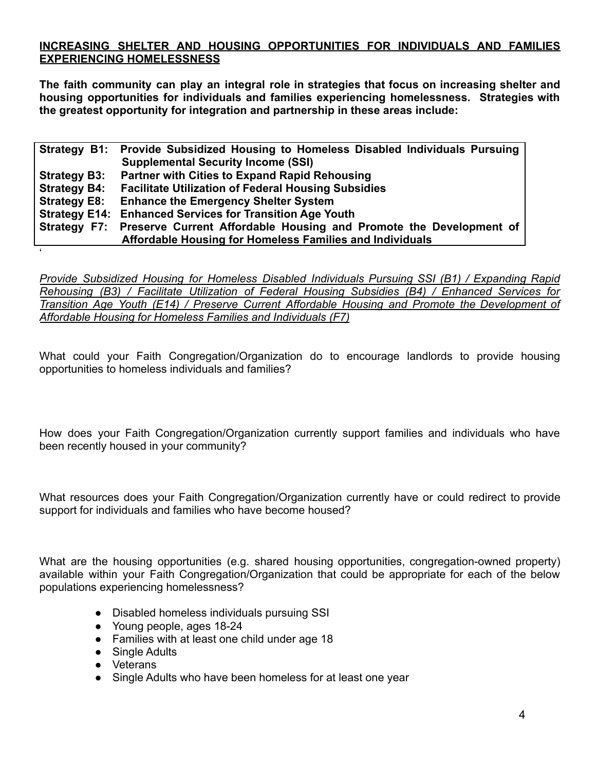### **INCREASING SHELTER AND HOUSING OPPORTUNITIES FOR INDIVIDUALS AND FAMILIES EXPERIENCING HOMELESSNESS**

**The faith community can play an integral role in strategies that focus on increasing shelter and housing opportunities for individuals and families experiencing homelessness. Strategies with the greatest opportunity for integration and partnership in these areas include:**

|                     | Strategy B1: Provide Subsidized Housing to Homeless Disabled Individuals Pursuing |
|---------------------|-----------------------------------------------------------------------------------|
|                     | <b>Supplemental Security Income (SSI)</b>                                         |
| <b>Strategy B3:</b> | <b>Partner with Cities to Expand Rapid Rehousing</b>                              |
| <b>Strategy B4:</b> | <b>Facilitate Utilization of Federal Housing Subsidies</b>                        |
| <b>Strategy E8:</b> | <b>Enhance the Emergency Shelter System</b>                                       |
|                     | <b>Strategy E14: Enhanced Services for Transition Age Youth</b>                   |
|                     | Strategy F7: Preserve Current Affordable Housing and Promote the Development of   |
|                     | Affordable Housing for Homeless Families and Individuals                          |

*Provide Subsidized Housing for Homeless Disabled Individuals Pursuing SSI (B1) / Expanding Rapid Rehousing (B3) / Facilitate Utilization of Federal Housing Subsidies (B4) / Enhanced Services for Transition Age Youth (E14) / Preserve Current Affordable Housing and Promote the Development of Affordable Housing for Homeless Families and Individuals (F7)*

What could your Faith Congregation/Organization do to encourage landlords to provide housing opportunities to homeless individuals and families?

How does your Faith Congregation/Organization currently support families and individuals who have been recently housed in your community?

What resources does your Faith Congregation/Organization currently have or could redirect to provide support for individuals and families who have become housed?

What are the housing opportunities (e.g. shared housing opportunities, congregation-owned property) available within your Faith Congregation/Organization that could be appropriate for each of the below populations experiencing homelessness?

- Disabled homeless individuals pursuing SSI
- Young people, ages 18-24
- Families with at least one child under age 18
- Single Adults
- Veterans

'

• Single Adults who have been homeless for at least one year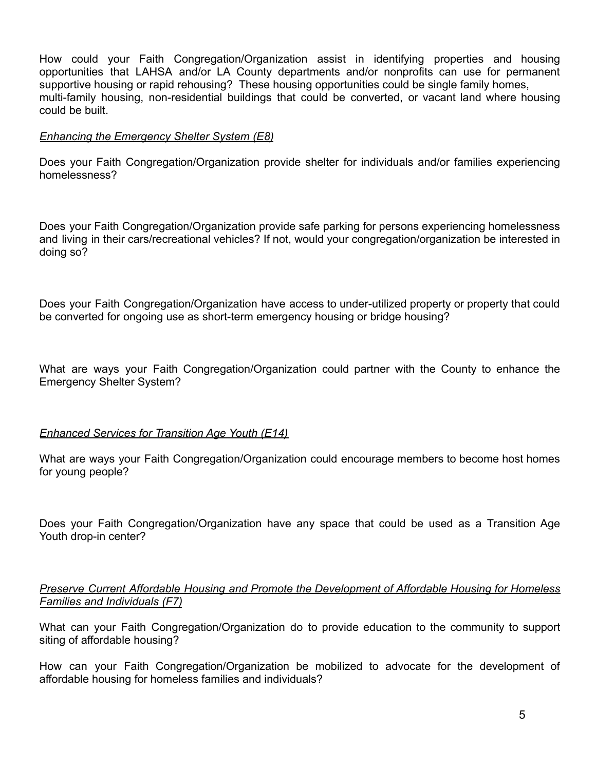How could your Faith Congregation/Organization assist in identifying properties and housing opportunities that LAHSA and/or LA County departments and/or nonprofits can use for permanent supportive housing or rapid rehousing? These housing opportunities could be single family homes, multi-family housing, non-residential buildings that could be converted, or vacant land where housing could be built.

### *Enhancing the Emergency Shelter System (E8)*

Does your Faith Congregation/Organization provide shelter for individuals and/or families experiencing homelessness?

Does your Faith Congregation/Organization provide safe parking for persons experiencing homelessness and living in their cars/recreational vehicles? If not, would your congregation/organization be interested in doing so?

Does your Faith Congregation/Organization have access to under-utilized property or property that could be converted for ongoing use as short-term emergency housing or bridge housing?

What are ways your Faith Congregation/Organization could partner with the County to enhance the Emergency Shelter System?

#### *Enhanced Services for Transition Age Youth (E14)*

What are ways your Faith Congregation/Organization could encourage members to become host homes for young people?

Does your Faith Congregation/Organization have any space that could be used as a Transition Age Youth drop-in center?

#### *Preserve Current Affordable Housing and Promote the Development of Affordable Housing for Homeless Families and Individuals (F7)*

What can your Faith Congregation/Organization do to provide education to the community to support siting of affordable housing?

How can your Faith Congregation/Organization be mobilized to advocate for the development of affordable housing for homeless families and individuals?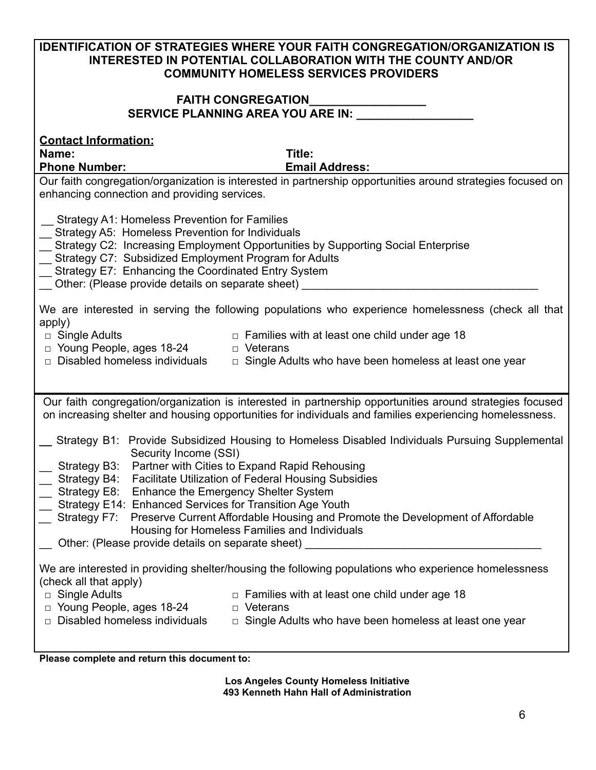| <b>IDENTIFICATION OF STRATEGIES WHERE YOUR FAITH CONGREGATION/ORGANIZATION IS</b>                                                                                                                                   |  |
|---------------------------------------------------------------------------------------------------------------------------------------------------------------------------------------------------------------------|--|
| <b>INTERESTED IN POTENTIAL COLLABORATION WITH THE COUNTY AND/OR</b><br><b>COMMUNITY HOMELESS SERVICES PROVIDERS</b>                                                                                                 |  |
| <b>FAITH CONGREGATION</b>                                                                                                                                                                                           |  |
| SERVICE PLANNING AREA YOU ARE IN: __________                                                                                                                                                                        |  |
| <b>Contact Information:</b>                                                                                                                                                                                         |  |
| Name:<br>Title:                                                                                                                                                                                                     |  |
| <b>Phone Number:</b><br><b>Email Address:</b><br>Our faith congregation/organization is interested in partnership opportunities around strategies focused on                                                        |  |
| enhancing connection and providing services.                                                                                                                                                                        |  |
| Strategy A1: Homeless Prevention for Families                                                                                                                                                                       |  |
| _ Strategy A5: Homeless Prevention for Individuals<br>_ Strategy C2: Increasing Employment Opportunities by Supporting Social Enterprise                                                                            |  |
| Strategy C7: Subsidized Employment Program for Adults                                                                                                                                                               |  |
| Strategy E7: Enhancing the Coordinated Entry System<br>__ Other: (Please provide details on separate sheet) _____                                                                                                   |  |
| We are interested in serving the following populations who experience homelessness (check all that                                                                                                                  |  |
| apply)                                                                                                                                                                                                              |  |
| $\Box$ Families with at least one child under age 18<br>□ Single Adults<br>□ Young People, ages 18-24<br>D Veterans                                                                                                 |  |
| $\Box$ Disabled homeless individuals<br>$\Box$ Single Adults who have been homeless at least one year                                                                                                               |  |
|                                                                                                                                                                                                                     |  |
| Our faith congregation/organization is interested in partnership opportunities around strategies focused<br>on increasing shelter and housing opportunities for individuals and families experiencing homelessness. |  |
| Strategy B1: Provide Subsidized Housing to Homeless Disabled Individuals Pursuing Supplemental<br>Security Income (SSI)                                                                                             |  |
| Partner with Cities to Expand Rapid Rehousing<br>Strategy B3:<br>Strategy B4: Facilitate Utilization of Federal Housing Subsidies                                                                                   |  |
| Strategy E8: Enhance the Emergency Shelter System                                                                                                                                                                   |  |
| Strategy E14: Enhanced Services for Transition Age Youth<br>Strategy F7: Preserve Current Affordable Housing and Promote the Development of Affordable                                                              |  |
| Housing for Homeless Families and Individuals                                                                                                                                                                       |  |
| Other: (Please provide details on separate sheet)                                                                                                                                                                   |  |
| We are interested in providing shelter/housing the following populations who experience homelessness<br>(check all that apply)                                                                                      |  |
| $\Box$ Single Adults<br>$\Box$ Families with at least one child under age 18                                                                                                                                        |  |
| □ Young People, ages 18-24<br>D Veterans<br>$\Box$ Disabled homeless individuals<br>$\Box$ Single Adults who have been homeless at least one year                                                                   |  |
|                                                                                                                                                                                                                     |  |

**Please complete and return this document to:**

**Los Angeles County Homeless Initiative 493 Kenneth Hahn Hall of Administration**